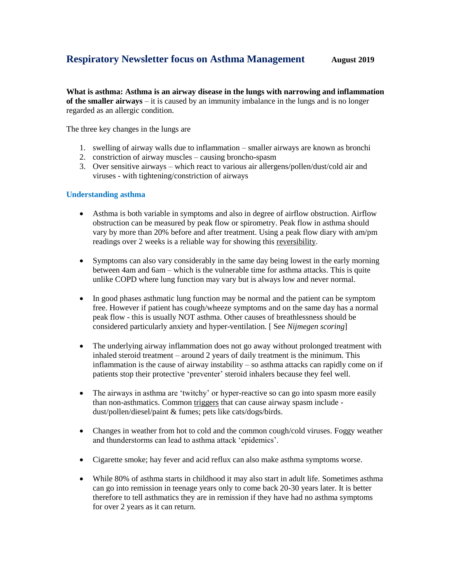# **Respiratory Newsletter focus on Asthma Management August** 2019

**What is asthma: Asthma is an airway disease in the lungs with narrowing and inflammation of the smaller airways** – it is caused by an immunity imbalance in the lungs and is no longer regarded as an allergic condition.

The three key changes in the lungs are

- 1. swelling of airway walls due to inflammation smaller airways are known as bronchi
- 2. constriction of airway muscles causing broncho-spasm
- 3. Over sensitive airways which react to various air allergens/pollen/dust/cold air and viruses - with tightening/constriction of airways

## **Understanding asthma**

- Asthma is both variable in symptoms and also in degree of airflow obstruction. Airflow obstruction can be measured by peak flow or spirometry. Peak flow in asthma should vary by more than 20% before and after treatment. Using a peak flow diary with am/pm readings over 2 weeks is a reliable way for showing this reversibility.
- Symptoms can also vary considerably in the same day being lowest in the early morning between 4am and 6am – which is the vulnerable time for asthma attacks. This is quite unlike COPD where lung function may vary but is always low and never normal.
- In good phases asthmatic lung function may be normal and the patient can be symptom free. However if patient has cough/wheeze symptoms and on the same day has a normal peak flow - this is usually NOT asthma. Other causes of breathlessness should be considered particularly anxiety and hyper-ventilation. [ See *Nijmegen scoring*]
- The underlying airway inflammation does not go away without prolonged treatment with inhaled steroid treatment – around 2 years of daily treatment is the minimum. This inflammation is the cause of airway instability – so asthma attacks can rapidly come on if patients stop their protective 'preventer' steroid inhalers because they feel well.
- The airways in asthma are 'twitchy' or hyper-reactive so can go into spasm more easily than non-asthmatics. Common triggers that can cause airway spasm include dust/pollen/diesel/paint & fumes; pets like cats/dogs/birds.
- Changes in weather from hot to cold and the common cough/cold viruses. Foggy weather and thunderstorms can lead to asthma attack 'epidemics'.
- Cigarette smoke; hay fever and acid reflux can also make asthma symptoms worse.
- While 80% of asthma starts in childhood it may also start in adult life. Sometimes asthma can go into remission in teenage years only to come back 20-30 years later. It is better therefore to tell asthmatics they are in remission if they have had no asthma symptoms for over 2 years as it can return.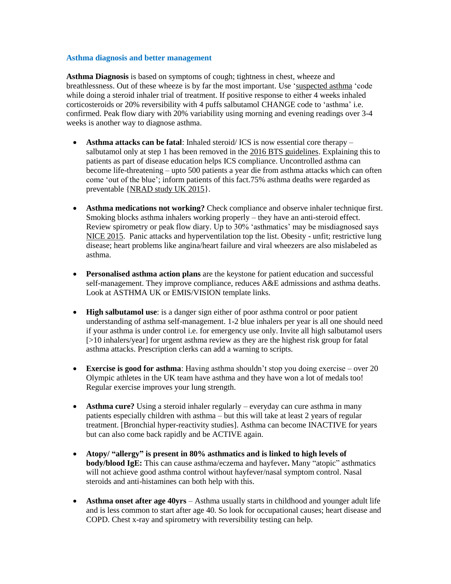#### **Asthma diagnosis and better management**

**Asthma Diagnosis** is based on symptoms of cough; tightness in chest, wheeze and breathlessness. Out of these wheeze is by far the most important. Use 'suspected asthma 'code while doing a steroid inhaler trial of treatment. If positive response to either 4 weeks inhaled corticosteroids or 20% reversibility with 4 puffs salbutamol CHANGE code to 'asthma' i.e. confirmed. Peak flow diary with 20% variability using morning and evening readings over 3-4 weeks is another way to diagnose asthma.

- **Asthma attacks can be fatal**: Inhaled steroid/ ICS is now essential core therapy salbutamol only at step 1 has been removed in the 2016 BTS guidelines. Explaining this to patients as part of disease education helps ICS compliance. Uncontrolled asthma can become life-threatening – upto 500 patients a year die from asthma attacks which can often come 'out of the blue'; inform patients of this fact.75% asthma deaths were regarded as preventable {NRAD study UK 2015}.
- **Asthma medications not working?** Check compliance and observe inhaler technique first. Smoking blocks asthma inhalers working properly – they have an anti-steroid effect. Review spirometry or peak flow diary. Up to 30% 'asthmatics' may be misdiagnosed says NICE 2015. Panic attacks and hyperventilation top the list. Obesity - unfit; restrictive lung disease; heart problems like angina/heart failure and viral wheezers are also mislabeled as asthma.
- **Personalised asthma action plans** are the keystone for patient education and successful self-management. They improve compliance, reduces A&E admissions and asthma deaths. Look at ASTHMA UK or EMIS/VISION template links.
- **High salbutamol use**: is a danger sign either of poor asthma control or poor patient understanding of asthma self-management. 1-2 blue inhalers per year is all one should need if your asthma is under control i.e. for emergency use only. Invite all high salbutamol users [>10 inhalers/year] for urgent asthma review as they are the highest risk group for fatal asthma attacks. Prescription clerks can add a warning to scripts.
- **Exercise is good for asthma**: Having asthma shouldn't stop you doing exercise over 20 Olympic athletes in the UK team have asthma and they have won a lot of medals too! Regular exercise improves your lung strength.
- **Asthma cure?** Using a steroid inhaler regularly everyday can cure asthma in many patients especially children with asthma – but this will take at least 2 years of regular treatment. [Bronchial hyper-reactivity studies]. Asthma can become INACTIVE for years but can also come back rapidly and be ACTIVE again.
- **Atopy/ "allergy" is present in 80% asthmatics and is linked to high levels of body/blood IgE:** This can cause asthma/eczema and hayfever**.** Many "atopic" asthmatics will not achieve good asthma control without hayfever/nasal symptom control. Nasal steroids and anti-histamines can both help with this.
- **Asthma onset after age 40yrs** Asthma usually starts in childhood and younger adult life and is less common to start after age 40. So look for occupational causes; heart disease and COPD. Chest x-ray and spirometry with reversibility testing can help.